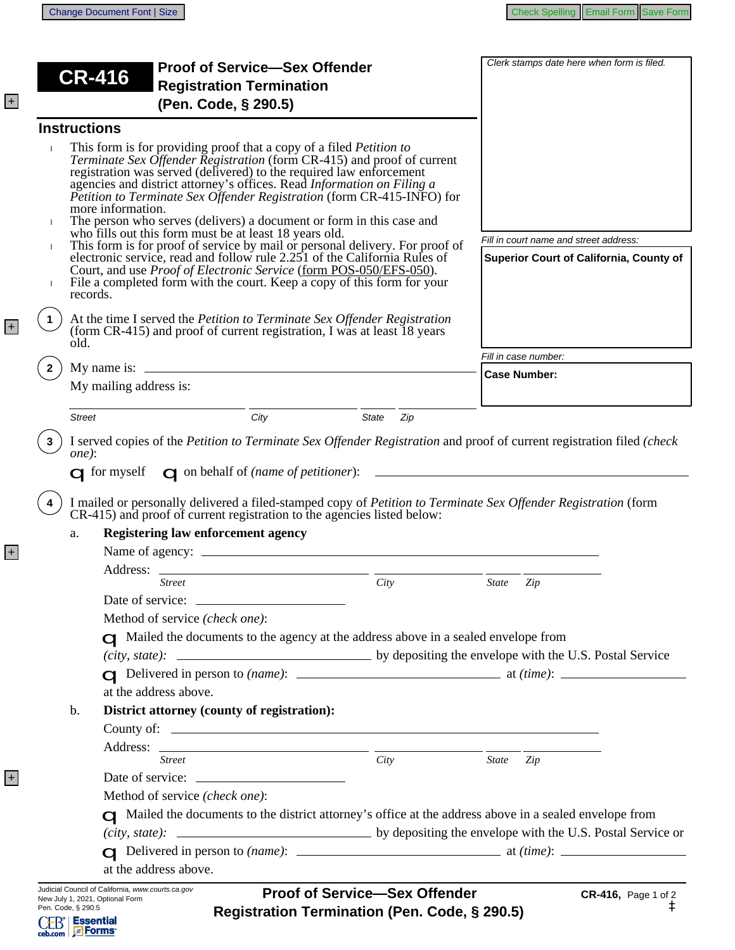+

+

+

+

|                     | <b>CR-416</b>                                                                            | <b>Proof of Service-Sex Offender</b><br><b>Registration Termination</b>                                                                                                                                                                                                                                                                                                                                                                                                                                                                                                                                                                                                                                                                                                                                                         |                                                                                                                                                        | Clerk stamps date here when form is filed.                                                                                                                                                                                              |  |  |
|---------------------|------------------------------------------------------------------------------------------|---------------------------------------------------------------------------------------------------------------------------------------------------------------------------------------------------------------------------------------------------------------------------------------------------------------------------------------------------------------------------------------------------------------------------------------------------------------------------------------------------------------------------------------------------------------------------------------------------------------------------------------------------------------------------------------------------------------------------------------------------------------------------------------------------------------------------------|--------------------------------------------------------------------------------------------------------------------------------------------------------|-----------------------------------------------------------------------------------------------------------------------------------------------------------------------------------------------------------------------------------------|--|--|
|                     |                                                                                          | (Pen. Code, § 290.5)                                                                                                                                                                                                                                                                                                                                                                                                                                                                                                                                                                                                                                                                                                                                                                                                            |                                                                                                                                                        |                                                                                                                                                                                                                                         |  |  |
| <b>Instructions</b> |                                                                                          |                                                                                                                                                                                                                                                                                                                                                                                                                                                                                                                                                                                                                                                                                                                                                                                                                                 |                                                                                                                                                        |                                                                                                                                                                                                                                         |  |  |
| $\mathbf{I}$        | more information.<br>records.                                                            | This form is for providing proof that a copy of a filed <i>Petition to</i><br>Terminate Sex Offender Registration (form CR-415) and proof of current<br>registration was served (delivered) to the required law enforcement<br>agencies and district attorney's offices. Read Information on Filing a<br>Petition to Terminate Sex Offender Registration (form CR-415-INFO) for<br>The person who serves (delivers) a document or form in this case and<br>who fills out this form must be at least 18 years old.<br>This form is for proof of service by mail or personal delivery. For proof of<br>electronic service, read and follow rule 2.251 of the California Rules of<br>Court, and use Proof of Electronic Service (form POS-050/EFS-050).<br>File a completed form with the court. Keep a copy of this form for your | Fill in court name and street address:<br>Superior Court of California, County of                                                                      |                                                                                                                                                                                                                                         |  |  |
| old.                |                                                                                          |                                                                                                                                                                                                                                                                                                                                                                                                                                                                                                                                                                                                                                                                                                                                                                                                                                 | At the time I served the Petition to Terminate Sex Offender Registration<br>(form CR-415) and proof of current registration, I was at least 18 years   |                                                                                                                                                                                                                                         |  |  |
|                     |                                                                                          |                                                                                                                                                                                                                                                                                                                                                                                                                                                                                                                                                                                                                                                                                                                                                                                                                                 |                                                                                                                                                        | Fill in case number:                                                                                                                                                                                                                    |  |  |
|                     | My mailing address is:                                                                   |                                                                                                                                                                                                                                                                                                                                                                                                                                                                                                                                                                                                                                                                                                                                                                                                                                 |                                                                                                                                                        | <b>Case Number:</b>                                                                                                                                                                                                                     |  |  |
| <b>Street</b>       |                                                                                          | City                                                                                                                                                                                                                                                                                                                                                                                                                                                                                                                                                                                                                                                                                                                                                                                                                            | State<br>Zip                                                                                                                                           |                                                                                                                                                                                                                                         |  |  |
| one):<br>4          |                                                                                          |                                                                                                                                                                                                                                                                                                                                                                                                                                                                                                                                                                                                                                                                                                                                                                                                                                 | $\Box$ for myself $\Box$ on behalf of ( <i>name of petitioner</i> ): $\Box$<br>CR-415) and proof of current registration to the agencies listed below: | I served copies of the Petition to Terminate Sex Offender Registration and proof of current registration filed (check<br>I mailed or personally delivered a filed-stamped copy of Petition to Terminate Sex Offender Registration (form |  |  |
| a.                  |                                                                                          | <b>Registering law enforcement agency</b>                                                                                                                                                                                                                                                                                                                                                                                                                                                                                                                                                                                                                                                                                                                                                                                       |                                                                                                                                                        |                                                                                                                                                                                                                                         |  |  |
|                     |                                                                                          |                                                                                                                                                                                                                                                                                                                                                                                                                                                                                                                                                                                                                                                                                                                                                                                                                                 |                                                                                                                                                        |                                                                                                                                                                                                                                         |  |  |
|                     | Address:                                                                                 |                                                                                                                                                                                                                                                                                                                                                                                                                                                                                                                                                                                                                                                                                                                                                                                                                                 |                                                                                                                                                        |                                                                                                                                                                                                                                         |  |  |
|                     | <b>Street</b>                                                                            |                                                                                                                                                                                                                                                                                                                                                                                                                                                                                                                                                                                                                                                                                                                                                                                                                                 | City                                                                                                                                                   | <b>State</b><br>Zip                                                                                                                                                                                                                     |  |  |
|                     |                                                                                          |                                                                                                                                                                                                                                                                                                                                                                                                                                                                                                                                                                                                                                                                                                                                                                                                                                 |                                                                                                                                                        |                                                                                                                                                                                                                                         |  |  |
|                     | Method of service (check one):                                                           |                                                                                                                                                                                                                                                                                                                                                                                                                                                                                                                                                                                                                                                                                                                                                                                                                                 |                                                                                                                                                        |                                                                                                                                                                                                                                         |  |  |
|                     | $\Box$ Mailed the documents to the agency at the address above in a sealed envelope from |                                                                                                                                                                                                                                                                                                                                                                                                                                                                                                                                                                                                                                                                                                                                                                                                                                 |                                                                                                                                                        |                                                                                                                                                                                                                                         |  |  |
|                     |                                                                                          |                                                                                                                                                                                                                                                                                                                                                                                                                                                                                                                                                                                                                                                                                                                                                                                                                                 |                                                                                                                                                        |                                                                                                                                                                                                                                         |  |  |
|                     |                                                                                          |                                                                                                                                                                                                                                                                                                                                                                                                                                                                                                                                                                                                                                                                                                                                                                                                                                 |                                                                                                                                                        |                                                                                                                                                                                                                                         |  |  |
|                     | at the address above.                                                                    |                                                                                                                                                                                                                                                                                                                                                                                                                                                                                                                                                                                                                                                                                                                                                                                                                                 |                                                                                                                                                        |                                                                                                                                                                                                                                         |  |  |
| b.                  |                                                                                          | District attorney (county of registration):                                                                                                                                                                                                                                                                                                                                                                                                                                                                                                                                                                                                                                                                                                                                                                                     |                                                                                                                                                        |                                                                                                                                                                                                                                         |  |  |
|                     |                                                                                          |                                                                                                                                                                                                                                                                                                                                                                                                                                                                                                                                                                                                                                                                                                                                                                                                                                 |                                                                                                                                                        |                                                                                                                                                                                                                                         |  |  |
|                     |                                                                                          |                                                                                                                                                                                                                                                                                                                                                                                                                                                                                                                                                                                                                                                                                                                                                                                                                                 |                                                                                                                                                        |                                                                                                                                                                                                                                         |  |  |
|                     | <b>Street</b>                                                                            |                                                                                                                                                                                                                                                                                                                                                                                                                                                                                                                                                                                                                                                                                                                                                                                                                                 | City                                                                                                                                                   | State Zip                                                                                                                                                                                                                               |  |  |
|                     |                                                                                          |                                                                                                                                                                                                                                                                                                                                                                                                                                                                                                                                                                                                                                                                                                                                                                                                                                 |                                                                                                                                                        |                                                                                                                                                                                                                                         |  |  |
|                     | Method of service (check one):                                                           |                                                                                                                                                                                                                                                                                                                                                                                                                                                                                                                                                                                                                                                                                                                                                                                                                                 |                                                                                                                                                        |                                                                                                                                                                                                                                         |  |  |
|                     |                                                                                          |                                                                                                                                                                                                                                                                                                                                                                                                                                                                                                                                                                                                                                                                                                                                                                                                                                 |                                                                                                                                                        | A Mailed the documents to the district attorney's office at the address above in a sealed envelope from                                                                                                                                 |  |  |
|                     |                                                                                          |                                                                                                                                                                                                                                                                                                                                                                                                                                                                                                                                                                                                                                                                                                                                                                                                                                 |                                                                                                                                                        |                                                                                                                                                                                                                                         |  |  |
|                     |                                                                                          |                                                                                                                                                                                                                                                                                                                                                                                                                                                                                                                                                                                                                                                                                                                                                                                                                                 |                                                                                                                                                        |                                                                                                                                                                                                                                         |  |  |
|                     | at the address above.                                                                    |                                                                                                                                                                                                                                                                                                                                                                                                                                                                                                                                                                                                                                                                                                                                                                                                                                 |                                                                                                                                                        |                                                                                                                                                                                                                                         |  |  |
|                     | Judicial Council of California, www.courts.ca.gov<br>New July 1, 2021, Optional Form     |                                                                                                                                                                                                                                                                                                                                                                                                                                                                                                                                                                                                                                                                                                                                                                                                                                 | <b>Proof of Service-Sex Offender</b>                                                                                                                   | CR-416, Page 1 of 2                                                                                                                                                                                                                     |  |  |
| Pen. Code, § 290.5  |                                                                                          |                                                                                                                                                                                                                                                                                                                                                                                                                                                                                                                                                                                                                                                                                                                                                                                                                                 | Registration Termination (Pen. Code, § 290.5)                                                                                                          | à                                                                                                                                                                                                                                       |  |  |
| ceb.com Forms       | <b>Essential</b>                                                                         |                                                                                                                                                                                                                                                                                                                                                                                                                                                                                                                                                                                                                                                                                                                                                                                                                                 |                                                                                                                                                        |                                                                                                                                                                                                                                         |  |  |